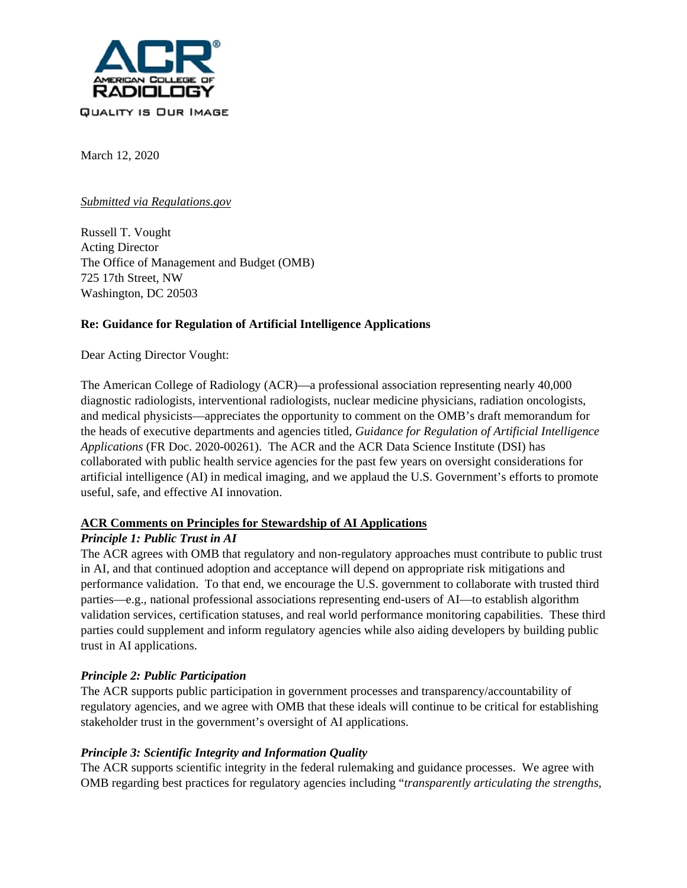

March 12, 2020

### *Submitted via Regulations.gov*

Russell T. Vought Acting Director The Office of Management and Budget (OMB) 725 17th Street, NW Washington, DC 20503

### **Re: Guidance for Regulation of Artificial Intelligence Applications**

Dear Acting Director Vought:

The American College of Radiology (ACR)—a professional association representing nearly 40,000 diagnostic radiologists, interventional radiologists, nuclear medicine physicians, radiation oncologists, and medical physicists—appreciates the opportunity to comment on the OMB's draft memorandum for the heads of executive departments and agencies titled, *Guidance for Regulation of Artificial Intelligence Applications* (FR Doc. 2020-00261). The ACR and the ACR Data Science Institute (DSI) has collaborated with public health service agencies for the past few years on oversight considerations for artificial intelligence (AI) in medical imaging, and we applaud the U.S. Government's efforts to promote useful, safe, and effective AI innovation.

### **ACR Comments on Principles for Stewardship of AI Applications**

### *Principle 1: Public Trust in AI*

The ACR agrees with OMB that regulatory and non-regulatory approaches must contribute to public trust in AI, and that continued adoption and acceptance will depend on appropriate risk mitigations and performance validation. To that end, we encourage the U.S. government to collaborate with trusted third parties—e.g., national professional associations representing end-users of AI—to establish algorithm validation services, certification statuses, and real world performance monitoring capabilities. These third parties could supplement and inform regulatory agencies while also aiding developers by building public trust in AI applications.

### *Principle 2: Public Participation*

The ACR supports public participation in government processes and transparency/accountability of regulatory agencies, and we agree with OMB that these ideals will continue to be critical for establishing stakeholder trust in the government's oversight of AI applications.

# *Principle 3: Scientific Integrity and Information Quality*

The ACR supports scientific integrity in the federal rulemaking and guidance processes. We agree with OMB regarding best practices for regulatory agencies including "*transparently articulating the strengths,*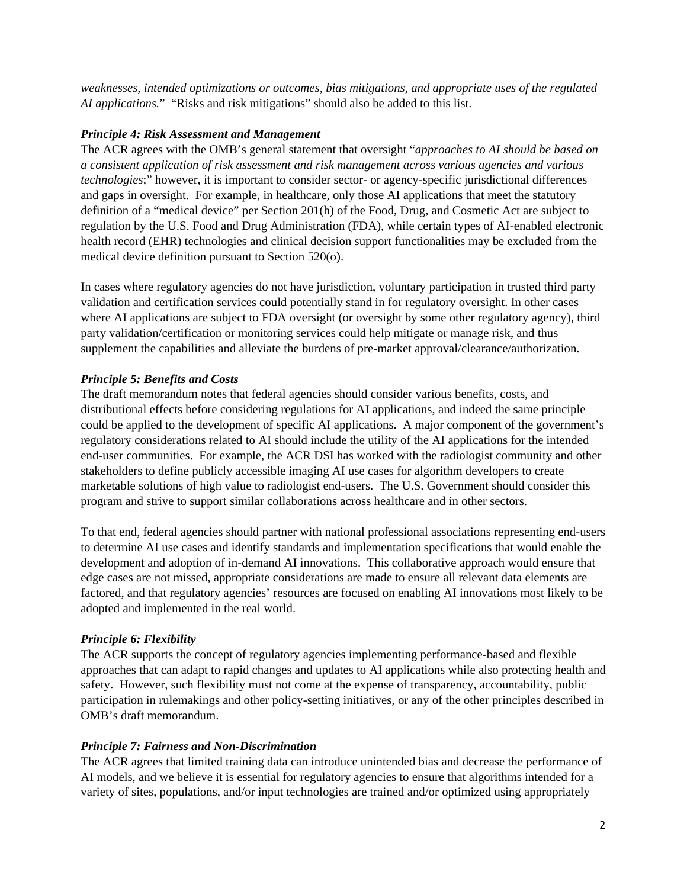*weaknesses, intended optimizations or outcomes, bias mitigations, and appropriate uses of the regulated AI applications.*" "Risks and risk mitigations" should also be added to this list.

# *Principle 4: Risk Assessment and Management*

The ACR agrees with the OMB's general statement that oversight "*approaches to AI should be based on a consistent application of risk assessment and risk management across various agencies and various technologies*;" however, it is important to consider sector- or agency-specific jurisdictional differences and gaps in oversight. For example, in healthcare, only those AI applications that meet the statutory definition of a "medical device" per Section 201(h) of the Food, Drug, and Cosmetic Act are subject to regulation by the U.S. Food and Drug Administration (FDA), while certain types of AI-enabled electronic health record (EHR) technologies and clinical decision support functionalities may be excluded from the medical device definition pursuant to Section 520(o).

In cases where regulatory agencies do not have jurisdiction, voluntary participation in trusted third party validation and certification services could potentially stand in for regulatory oversight. In other cases where AI applications are subject to FDA oversight (or oversight by some other regulatory agency), third party validation/certification or monitoring services could help mitigate or manage risk, and thus supplement the capabilities and alleviate the burdens of pre-market approval/clearance/authorization.

# *Principle 5: Benefits and Costs*

The draft memorandum notes that federal agencies should consider various benefits, costs, and distributional effects before considering regulations for AI applications, and indeed the same principle could be applied to the development of specific AI applications. A major component of the government's regulatory considerations related to AI should include the utility of the AI applications for the intended end-user communities. For example, the ACR DSI has worked with the radiologist community and other stakeholders to define publicly accessible imaging AI use cases for algorithm developers to create marketable solutions of high value to radiologist end-users. The U.S. Government should consider this program and strive to support similar collaborations across healthcare and in other sectors.

To that end, federal agencies should partner with national professional associations representing end-users to determine AI use cases and identify standards and implementation specifications that would enable the development and adoption of in-demand AI innovations. This collaborative approach would ensure that edge cases are not missed, appropriate considerations are made to ensure all relevant data elements are factored, and that regulatory agencies' resources are focused on enabling AI innovations most likely to be adopted and implemented in the real world.

# *Principle 6: Flexibility*

The ACR supports the concept of regulatory agencies implementing performance-based and flexible approaches that can adapt to rapid changes and updates to AI applications while also protecting health and safety. However, such flexibility must not come at the expense of transparency, accountability, public participation in rulemakings and other policy-setting initiatives, or any of the other principles described in OMB's draft memorandum.

# *Principle 7: Fairness and Non-Discrimination*

The ACR agrees that limited training data can introduce unintended bias and decrease the performance of AI models, and we believe it is essential for regulatory agencies to ensure that algorithms intended for a variety of sites, populations, and/or input technologies are trained and/or optimized using appropriately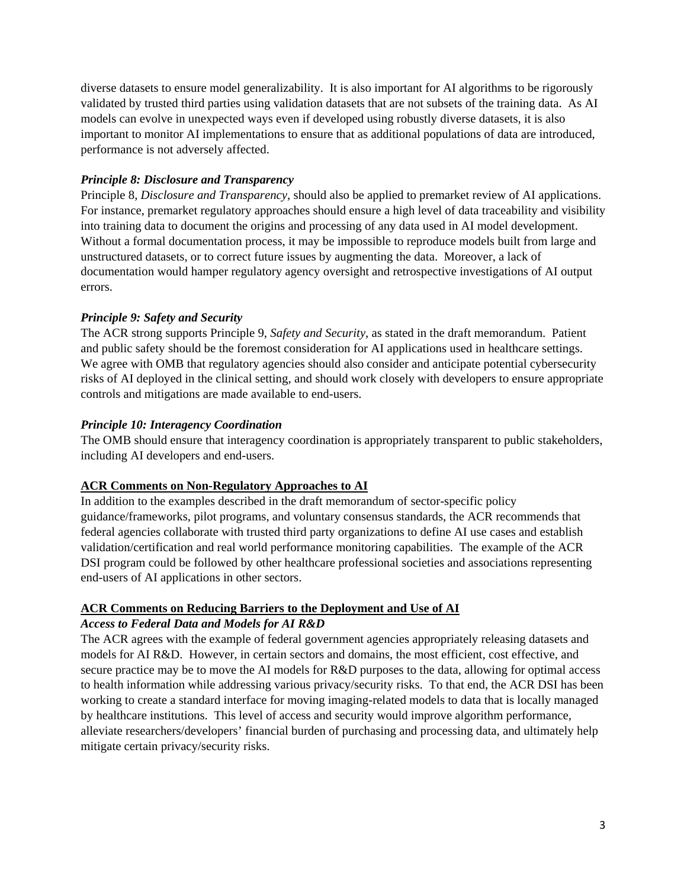diverse datasets to ensure model generalizability. It is also important for AI algorithms to be rigorously validated by trusted third parties using validation datasets that are not subsets of the training data. As AI models can evolve in unexpected ways even if developed using robustly diverse datasets, it is also important to monitor AI implementations to ensure that as additional populations of data are introduced, performance is not adversely affected.

### *Principle 8: Disclosure and Transparency*

Principle 8, *Disclosure and Transparency*, should also be applied to premarket review of AI applications. For instance, premarket regulatory approaches should ensure a high level of data traceability and visibility into training data to document the origins and processing of any data used in AI model development. Without a formal documentation process, it may be impossible to reproduce models built from large and unstructured datasets, or to correct future issues by augmenting the data. Moreover, a lack of documentation would hamper regulatory agency oversight and retrospective investigations of AI output errors.

# *Principle 9: Safety and Security*

The ACR strong supports Principle 9, *Safety and Security*, as stated in the draft memorandum. Patient and public safety should be the foremost consideration for AI applications used in healthcare settings. We agree with OMB that regulatory agencies should also consider and anticipate potential cybersecurity risks of AI deployed in the clinical setting, and should work closely with developers to ensure appropriate controls and mitigations are made available to end-users.

# *Principle 10: Interagency Coordination*

The OMB should ensure that interagency coordination is appropriately transparent to public stakeholders, including AI developers and end-users.

# **ACR Comments on Non-Regulatory Approaches to AI**

In addition to the examples described in the draft memorandum of sector-specific policy guidance/frameworks, pilot programs, and voluntary consensus standards, the ACR recommends that federal agencies collaborate with trusted third party organizations to define AI use cases and establish validation/certification and real world performance monitoring capabilities. The example of the ACR DSI program could be followed by other healthcare professional societies and associations representing end-users of AI applications in other sectors.

# **ACR Comments on Reducing Barriers to the Deployment and Use of AI**

### *Access to Federal Data and Models for AI R&D*

The ACR agrees with the example of federal government agencies appropriately releasing datasets and models for AI R&D. However, in certain sectors and domains, the most efficient, cost effective, and secure practice may be to move the AI models for R&D purposes to the data, allowing for optimal access to health information while addressing various privacy/security risks. To that end, the ACR DSI has been working to create a standard interface for moving imaging-related models to data that is locally managed by healthcare institutions. This level of access and security would improve algorithm performance, alleviate researchers/developers' financial burden of purchasing and processing data, and ultimately help mitigate certain privacy/security risks.